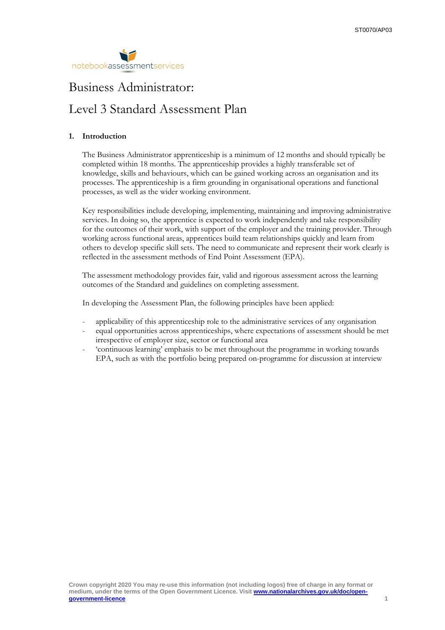

# Business Administrator:

## Level 3 Standard Assessment Plan

## **1. Introduction**

The Business Administrator apprenticeship is a minimum of 12 months and should typically be completed within 18 months. The apprenticeship provides a highly transferable set of knowledge, skills and behaviours, which can be gained working across an organisation and its processes. The apprenticeship is a firm grounding in organisational operations and functional processes, as well as the wider working environment.

Key responsibilities include developing, implementing, maintaining and improving administrative services. In doing so, the apprentice is expected to work independently and take responsibility for the outcomes of their work, with support of the employer and the training provider. Through working across functional areas, apprentices build team relationships quickly and learn from others to develop specific skill sets. The need to communicate and represent their work clearly is reflected in the assessment methods of End Point Assessment (EPA).

The assessment methodology provides fair, valid and rigorous assessment across the learning outcomes of the Standard and guidelines on completing assessment.

In developing the Assessment Plan, the following principles have been applied:

- applicability of this apprenticeship role to the administrative services of any organisation
- equal opportunities across apprenticeships, where expectations of assessment should be met irrespective of employer size, sector or functional area
- 'continuous learning' emphasis to be met throughout the programme in working towards EPA, such as with the portfolio being prepared on-programme for discussion at interview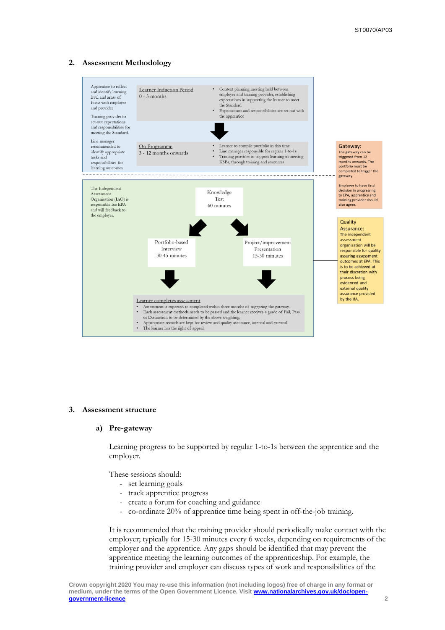## **2. Assessment Methodology**



#### **3. Assessment structure**

#### **a) Pre-gateway**

Learning progress to be supported by regular 1-to-1s between the apprentice and the employer.

These sessions should:

- set learning goals
- track apprentice progress
- create a forum for coaching and guidance
- co-ordinate 20% of apprentice time being spent in off-the-job training.

It is recommended that the training provider should periodically make contact with the employer; typically for 15-30 minutes every 6 weeks, depending on requirements of the employer and the apprentice. Any gaps should be identified that may prevent the apprentice meeting the learning outcomes of the apprenticeship. For example, the training provider and employer can discuss types of work and responsibilities of the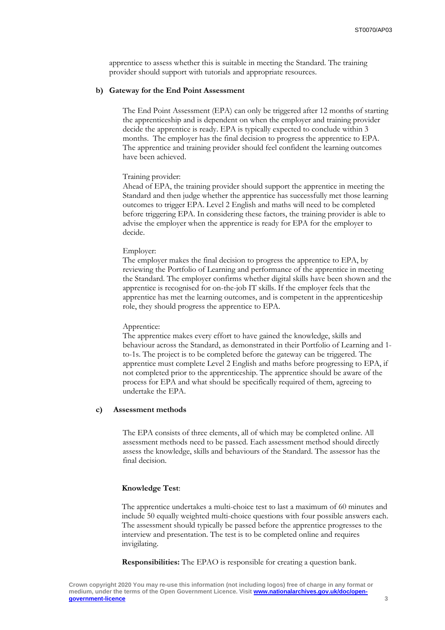apprentice to assess whether this is suitable in meeting the Standard. The training provider should support with tutorials and appropriate resources.

#### **b) Gateway for the End Point Assessment**

The End Point Assessment (EPA) can only be triggered after 12 months of starting the apprenticeship and is dependent on when the employer and training provider decide the apprentice is ready. EPA is typically expected to conclude within 3 months. The employer has the final decision to progress the apprentice to EPA. The apprentice and training provider should feel confident the learning outcomes have been achieved.

#### Training provider:

Ahead of EPA, the training provider should support the apprentice in meeting the Standard and then judge whether the apprentice has successfully met those learning outcomes to trigger EPA. Level 2 English and maths will need to be completed before triggering EPA. In considering these factors, the training provider is able to advise the employer when the apprentice is ready for EPA for the employer to decide.

#### Employer:

The employer makes the final decision to progress the apprentice to EPA, by reviewing the Portfolio of Learning and performance of the apprentice in meeting the Standard. The employer confirms whether digital skills have been shown and the apprentice is recognised for on-the-job IT skills. If the employer feels that the apprentice has met the learning outcomes, and is competent in the apprenticeship role, they should progress the apprentice to EPA.

#### Apprentice:

The apprentice makes every effort to have gained the knowledge, skills and behaviour across the Standard, as demonstrated in their Portfolio of Learning and 1 to-1s. The project is to be completed before the gateway can be triggered. The apprentice must complete Level 2 English and maths before progressing to EPA, if not completed prior to the apprenticeship. The apprentice should be aware of the process for EPA and what should be specifically required of them, agreeing to undertake the EPA.

#### **c) Assessment methods**

The EPA consists of three elements, all of which may be completed online. All assessment methods need to be passed. Each assessment method should directly assess the knowledge, skills and behaviours of the Standard. The assessor has the final decision.

#### **Knowledge Test**:

The apprentice undertakes a multi-choice test to last a maximum of 60 minutes and include 50 equally weighted multi-choice questions with four possible answers each. The assessment should typically be passed before the apprentice progresses to the interview and presentation. The test is to be completed online and requires invigilating.

**Responsibilities:** The EPAO is responsible for creating a question bank.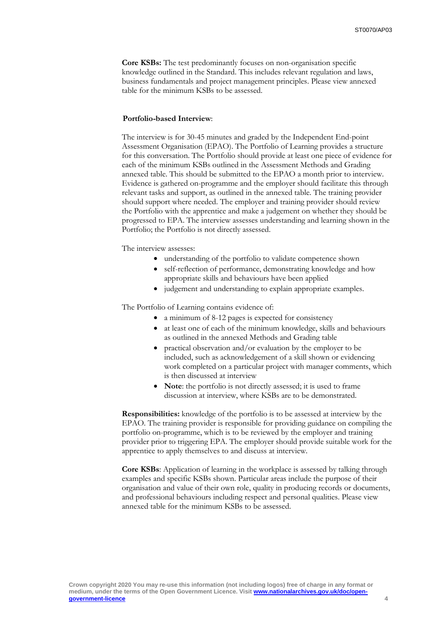**Core KSBs:** The test predominantly focuses on non-organisation specific knowledge outlined in the Standard. This includes relevant regulation and laws, business fundamentals and project management principles. Please view annexed table for the minimum KSBs to be assessed.

### **Portfolio-based Interview**:

The interview is for 30-45 minutes and graded by the Independent End-point Assessment Organisation (EPAO). The Portfolio of Learning provides a structure for this conversation. The Portfolio should provide at least one piece of evidence for each of the minimum KSBs outlined in the Assessment Methods and Grading annexed table. This should be submitted to the EPAO a month prior to interview. Evidence is gathered on-programme and the employer should facilitate this through relevant tasks and support, as outlined in the annexed table. The training provider should support where needed. The employer and training provider should review the Portfolio with the apprentice and make a judgement on whether they should be progressed to EPA. The interview assesses understanding and learning shown in the Portfolio; the Portfolio is not directly assessed.

The interview assesses:

- understanding of the portfolio to validate competence shown
- self-reflection of performance, demonstrating knowledge and how appropriate skills and behaviours have been applied
- judgement and understanding to explain appropriate examples.

The Portfolio of Learning contains evidence of:

- a minimum of 8-12 pages is expected for consistency
- at least one of each of the minimum knowledge, skills and behaviours as outlined in the annexed Methods and Grading table
- practical observation and/or evaluation by the employer to be included, such as acknowledgement of a skill shown or evidencing work completed on a particular project with manager comments, which is then discussed at interview
- Note: the portfolio is not directly assessed; it is used to frame discussion at interview, where KSBs are to be demonstrated.

**Responsibilities:** knowledge of the portfolio is to be assessed at interview by the EPAO. The training provider is responsible for providing guidance on compiling the portfolio on-programme, which is to be reviewed by the employer and training provider prior to triggering EPA. The employer should provide suitable work for the apprentice to apply themselves to and discuss at interview.

**Core KSBs**: Application of learning in the workplace is assessed by talking through examples and specific KSBs shown. Particular areas include the purpose of their organisation and value of their own role, quality in producing records or documents, and professional behaviours including respect and personal qualities. Please view annexed table for the minimum KSBs to be assessed.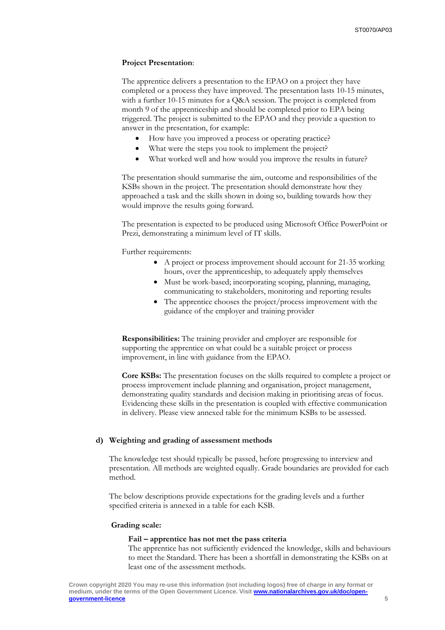#### **Project Presentation**:

The apprentice delivers a presentation to the EPAO on a project they have completed or a process they have improved. The presentation lasts 10-15 minutes, with a further 10-15 minutes for a Q&A session. The project is completed from month 9 of the apprenticeship and should be completed prior to EPA being triggered. The project is submitted to the EPAO and they provide a question to answer in the presentation, for example:

- How have you improved a process or operating practice?
- What were the steps you took to implement the project?
- What worked well and how would you improve the results in future?

The presentation should summarise the aim, outcome and responsibilities of the KSBs shown in the project. The presentation should demonstrate how they approached a task and the skills shown in doing so, building towards how they would improve the results going forward.

The presentation is expected to be produced using Microsoft Office PowerPoint or Prezi, demonstrating a minimum level of IT skills.

Further requirements:

- A project or process improvement should account for 21-35 working hours, over the apprenticeship, to adequately apply themselves
- Must be work-based; incorporating scoping, planning, managing, communicating to stakeholders, monitoring and reporting results
- The apprentice chooses the project/process improvement with the guidance of the employer and training provider

**Responsibilities:** The training provider and employer are responsible for supporting the apprentice on what could be a suitable project or process improvement, in line with guidance from the EPAO.

**Core KSBs:** The presentation focuses on the skills required to complete a project or process improvement include planning and organisation, project management, demonstrating quality standards and decision making in prioritising areas of focus. Evidencing these skills in the presentation is coupled with effective communication in delivery. Please view annexed table for the minimum KSBs to be assessed.

#### **d) Weighting and grading of assessment methods**

The knowledge test should typically be passed, before progressing to interview and presentation. All methods are weighted equally. Grade boundaries are provided for each method.

The below descriptions provide expectations for the grading levels and a further specified criteria is annexed in a table for each KSB.

#### **Grading scale:**

#### **Fail – apprentice has not met the pass criteria**

The apprentice has not sufficiently evidenced the knowledge, skills and behaviours to meet the Standard. There has been a shortfall in demonstrating the KSBs on at least one of the assessment methods.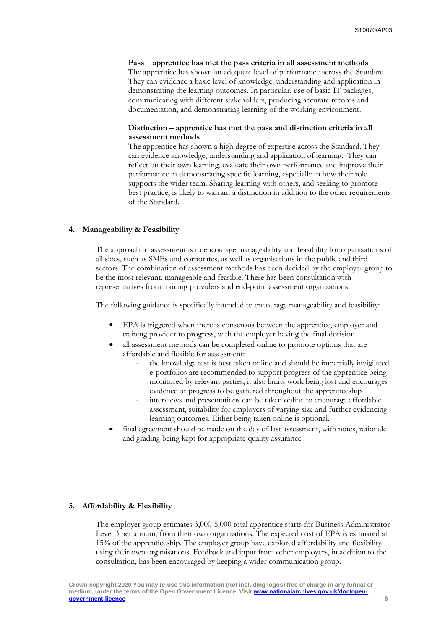**Pass – apprentice has met the pass criteria in all assessment methods** The apprentice has shown an adequate level of performance across the Standard. They can evidence a basic level of knowledge, understanding and application in demonstrating the learning outcomes. In particular, use of basic IT packages, communicating with different stakeholders, producing accurate records and documentation, and demonstrating learning of the working environment.

## **Distinction – apprentice has met the pass and distinction criteria in all assessment methods**

The apprentice has shown a high degree of expertise across the Standard. They can evidence knowledge, understanding and application of learning. They can reflect on their own learning, evaluate their own performance and improve their performance in demonstrating specific learning, especially in how their role supports the wider team. Sharing learning with others, and seeking to promote best practice, is likely to warrant a distinction in addition to the other requirements of the Standard.

#### **4. Manageability & Feasibility**

The approach to assessment is to encourage manageability and feasibility for organisations of all sizes, such as SMEs and corporates, as well as organisations in the public and third sectors. The combination of assessment methods has been decided by the employer group to be the most relevant, manageable and feasible. There has been consultation with representatives from training providers and end-point assessment organisations.

The following guidance is specifically intended to encourage manageability and feasibility:

- EPA is triggered when there is consensus between the apprentice, employer and training provider to progress, with the employer having the final decision
- all assessment methods can be completed online to promote options that are affordable and flexible for assessment:
	- the knowledge test is best taken online and should be impartially invigilated
	- e-portfolios are recommended to support progress of the apprentice being monitored by relevant parties, it also limits work being lost and encourages evidence of progress to be gathered throughout the apprenticeship
	- interviews and presentations can be taken online to encourage affordable assessment, suitability for employers of varying size and further evidencing learning outcomes. Either being taken online is optional.
- final agreement should be made on the day of last assessment, with notes, rationale and grading being kept for appropriate quality assurance

#### **5. Affordability & Flexibility**

The employer group estimates 3,000-5,000 total apprentice starts for Business Administrator Level 3 per annum, from their own organisations. The expected cost of EPA is estimated at 15% of the apprenticeship. The employer group have explored affordability and flexibility using their own organisations. Feedback and input from other employers, in addition to the consultation, has been encouraged by keeping a wider communication group.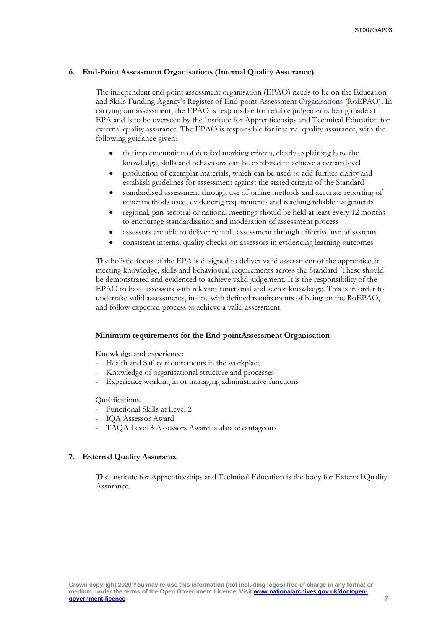## **6. End-Point Assessment Organisations (Internal Quality Assurance)**

The independent end-point assessment organisation (EPAO) needs to be on the Education and Skills Funding Agency's Register of End-point [Assessment Organisations](https://www.gov.uk/government/publications/register-of-apprentice-assessment-organisations) (RoEPAO). In carrying out assessment, the EPAO is responsible for reliable judgements being made at EPA and is to be overseen by the Institute for Apprenticehsips and Technical Education for external quality assurance. The EPAO is responsible for internal quality assurance, with the following guidance given:

- the implementation of detailed marking criteria, clearly explaining how the knowledge, skills and behaviours can be exhibited to achieve a certain level
- production of exemplar materials, which can be used to add further clarity and establish guidelines for assessment against the stated criteria of the Standard
- standardised assessment through use of online methods and accurate reporting of other methods used, evidencing requirements and reaching reliable judgements
- regional, pan-sectoral or national meetings should be held at least every 12 months to encourage standardisation and moderation of assessment process
- assessors are able to deliver reliable assessment through effective use of systems
- consistent internal quality checks on assessors in evidencing learning outcomes

The holistic-focus of the EPA is designed to deliver valid assessment of the apprentice, in meeting knowledge, skills and behavioural requirements across the Standard. These should be demonstrated and evidenced to achieve valid judgement. It is the responsibility of the EPAO to have assessors with relevant functional and sector knowledge. This is in order to undertake valid assessments, in-line with defined requirements of being on the RoEPAO, and follow expected process to achieve a valid assessment.

## **Minimum requirements for the End-pointAssessment Organisation**

Knowledge and experience:

- Health and Safety requirements in the workplace
- Knowledge of organisational structure and processes
- Experience working in or managing administrative functions

#### Qualifications

- Functional Skills at Level 2
- IQA Assessor Award
- TAQA Level 3 Assessors Award is also advantageous

#### **7. External Quality Assurance**

The Institute for Apprenticeships and Technical Education is the body for External Quality Assurance.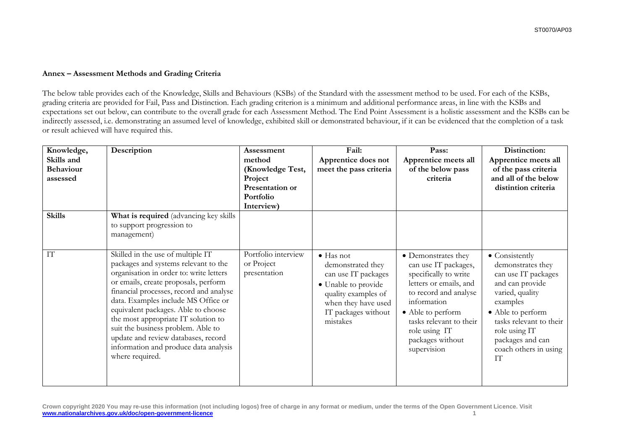## **Annex – Assessment Methods and Grading Criteria**

The below table provides each of the Knowledge, Skills and Behaviours (KSBs) of the Standard with the assessment method to be used. For each of the KSBs, grading criteria are provided for Fail, Pass and Distinction. Each grading criterion is a minimum and additional performance areas, in line with the KSBs and expectations set out below, can contribute to the overall grade for each Assessment Method. The End Point Assessment is a holistic assessment and the KSBs can be indirectly assessed, i.e. demonstrating an assumed level of knowledge, exhibited skill or demonstrated behaviour, if it can be evidenced that the completion of a task or result achieved will have required this.

| Knowledge,<br>Skills and<br><b>Behaviour</b><br>assessed | Description                                                                                                                                                                                                                                                                                                                                                                                                                                                           | Assessment<br>method<br>(Knowledge Test,<br>Project<br>Presentation or<br>Portfolio<br>Interview) | Fail:<br>Apprentice does not<br>meet the pass criteria                                                                                                                | Pass:<br>Apprentice meets all<br>of the below pass<br>criteria                                                                                                                                                                             | Distinction:<br>Apprentice meets all<br>of the pass criteria<br>and all of the below<br>distintion criteria                                                                                                                      |
|----------------------------------------------------------|-----------------------------------------------------------------------------------------------------------------------------------------------------------------------------------------------------------------------------------------------------------------------------------------------------------------------------------------------------------------------------------------------------------------------------------------------------------------------|---------------------------------------------------------------------------------------------------|-----------------------------------------------------------------------------------------------------------------------------------------------------------------------|--------------------------------------------------------------------------------------------------------------------------------------------------------------------------------------------------------------------------------------------|----------------------------------------------------------------------------------------------------------------------------------------------------------------------------------------------------------------------------------|
| <b>Skills</b>                                            | What is required (advancing key skills<br>to support progression to<br>management)                                                                                                                                                                                                                                                                                                                                                                                    |                                                                                                   |                                                                                                                                                                       |                                                                                                                                                                                                                                            |                                                                                                                                                                                                                                  |
| IT                                                       | Skilled in the use of multiple IT<br>packages and systems relevant to the<br>organisation in order to: write letters<br>or emails, create proposals, perform<br>financial processes, record and analyse<br>data. Examples include MS Office or<br>equivalent packages. Able to choose<br>the most appropriate IT solution to<br>suit the business problem. Able to<br>update and review databases, record<br>information and produce data analysis<br>where required. | Portfolio interview<br>or Project<br>presentation                                                 | $\bullet$ Has not<br>demonstrated they<br>can use IT packages<br>• Unable to provide<br>quality examples of<br>when they have used<br>IT packages without<br>mistakes | • Demonstrates they<br>can use IT packages,<br>specifically to write<br>letters or emails, and<br>to record and analyse<br>information<br>• Able to perform<br>tasks relevant to their<br>role using IT<br>packages without<br>supervision | • Consistently<br>demonstrates they<br>can use IT packages<br>and can provide<br>varied, quality<br>examples<br>• Able to perform<br>tasks relevant to their<br>role using IT<br>packages and can<br>coach others in using<br>IT |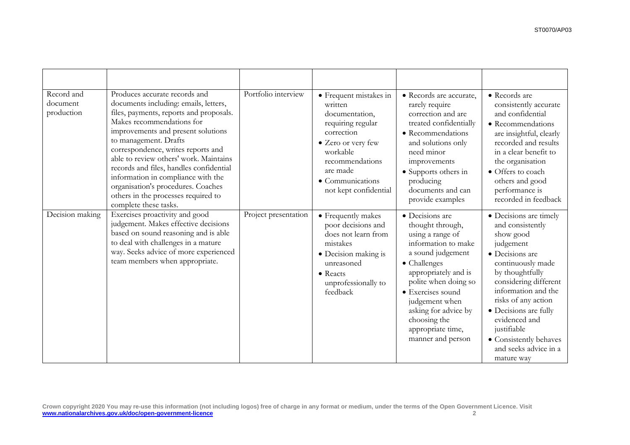| Record and<br>document<br>production | Produces accurate records and<br>documents including: emails, letters,<br>files, payments, reports and proposals.<br>Makes recommendations for<br>improvements and present solutions<br>to management. Drafts<br>correspondence, writes reports and<br>able to review others' work. Maintains<br>records and files, handles confidential<br>information in compliance with the<br>organisation's procedures. Coaches<br>others in the processes required to<br>complete these tasks. | Portfolio interview  | • Frequent mistakes in<br>written<br>documentation,<br>requiring regular<br>correction<br>• Zero or very few<br>workable<br>recommendations<br>are made<br>• Communications<br>not kept confidential | · Records are accurate,<br>rarely require<br>correction and are<br>treated confidentially<br>• Recommendations<br>and solutions only<br>need minor<br>improvements<br>• Supports others in<br>producing<br>documents and can<br>provide examples                                             | • Records are<br>consistently accurate<br>and confidential<br>• Recommendations<br>are insightful, clearly<br>recorded and results<br>in a clear benefit to<br>the organisation<br>• Offers to coach<br>others and good<br>performance is<br>recorded in feedback                                                                |
|--------------------------------------|--------------------------------------------------------------------------------------------------------------------------------------------------------------------------------------------------------------------------------------------------------------------------------------------------------------------------------------------------------------------------------------------------------------------------------------------------------------------------------------|----------------------|------------------------------------------------------------------------------------------------------------------------------------------------------------------------------------------------------|----------------------------------------------------------------------------------------------------------------------------------------------------------------------------------------------------------------------------------------------------------------------------------------------|----------------------------------------------------------------------------------------------------------------------------------------------------------------------------------------------------------------------------------------------------------------------------------------------------------------------------------|
| Decision making                      | Exercises proactivity and good<br>judgement. Makes effective decisions<br>based on sound reasoning and is able<br>to deal with challenges in a mature<br>way. Seeks advice of more experienced<br>team members when appropriate.                                                                                                                                                                                                                                                     | Project presentation | • Frequently makes<br>poor decisions and<br>does not learn from<br>mistakes<br>• Decision making is<br>unreasoned<br>• Reacts<br>unprofessionally to<br>feedback                                     | · Decisions are<br>thought through,<br>using a range of<br>information to make<br>a sound judgement<br>• Challenges<br>appropriately and is<br>polite when doing so<br>• Exercises sound<br>judgement when<br>asking for advice by<br>choosing the<br>appropriate time,<br>manner and person | • Decisions are timely<br>and consistently<br>show good<br>judgement<br>· Decisions are<br>continuously made<br>by thoughtfully<br>considering different<br>information and the<br>risks of any action<br>· Decisions are fully<br>evidenced and<br>justifiable<br>• Consistently behaves<br>and seeks advice in a<br>mature way |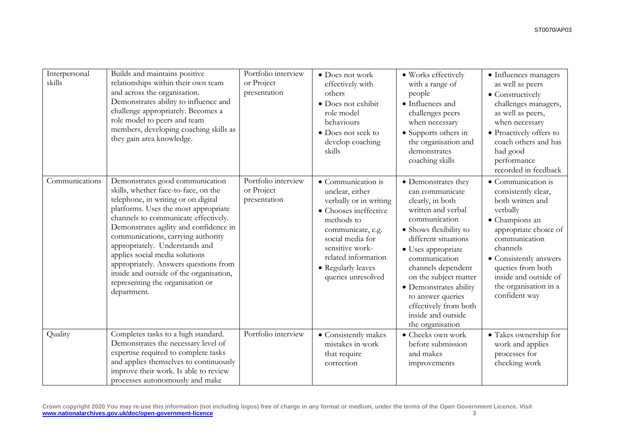| Interpersonal<br>skills | Builds and maintains positive<br>relationships within their own team<br>and across the organisation.<br>Demonstrates ability to influence and<br>challenge appropriately. Becomes a<br>role model to peers and team<br>members, developing coaching skills as<br>they gain area knowledge.                                                                                                                                                                                                | Portfolio interview<br>or Project<br>presentation | • Does not work<br>effectively with<br>others<br>· Does not exhibit<br>role model<br>behaviours<br>• Does not seek to<br>develop coaching<br>skills                                                                                   | · Works effectively<br>with a range of<br>people<br>• Influences and<br>challenges peers<br>when necessary<br>• Supports others in<br>the organisation and<br>demonstrates<br>coaching skills                                                                                                                                                               | • Influences managers<br>as well as peers<br>• Constructively<br>challenges managers,<br>as well as peers,<br>when necessary<br>• Proactively offers to<br>coach others and has<br>had good<br>performance<br>recorded in feedback                                  |
|-------------------------|-------------------------------------------------------------------------------------------------------------------------------------------------------------------------------------------------------------------------------------------------------------------------------------------------------------------------------------------------------------------------------------------------------------------------------------------------------------------------------------------|---------------------------------------------------|---------------------------------------------------------------------------------------------------------------------------------------------------------------------------------------------------------------------------------------|-------------------------------------------------------------------------------------------------------------------------------------------------------------------------------------------------------------------------------------------------------------------------------------------------------------------------------------------------------------|---------------------------------------------------------------------------------------------------------------------------------------------------------------------------------------------------------------------------------------------------------------------|
| Communications          | Demonstrates good communication<br>skills, whether face-to-face, on the<br>telephone, in writing or on digital<br>platforms. Uses the most appropriate<br>channels to communicate effectively.<br>Demonstrates agility and confidence in<br>communications, carrying authority<br>appropriately. Understands and<br>applies social media solutions<br>appropriately. Answers questions from<br>inside and outside of the organisation,<br>representing the organisation or<br>department. | Portfolio interview<br>or Project<br>presentation | • Communication is<br>unclear, either<br>verbally or in writing<br>• Chooses ineffective<br>methods to<br>communicate, e.g.<br>social media for<br>sensitive work-<br>related information<br>• Regularly leaves<br>queries unresolved | • Demonstrates they<br>can communicate<br>clearly, in both<br>written and verbal<br>communication<br>• Shows flexibility to<br>different situations<br>• Uses appropriate<br>communication<br>channels dependent<br>on the subject matter<br>• Demonstrates ability<br>to answer queries<br>effectively from both<br>inside and outside<br>the organisation | • Communication is<br>consistently clear,<br>both written and<br>verbally<br>• Champions an<br>appropriate choice of<br>communication<br>channels<br>• Consistently answers<br>queries from both<br>inside and outside of<br>the organisation in a<br>confident way |
| Quality                 | Completes tasks to a high standard.<br>Demonstrates the necessary level of<br>expertise required to complete tasks<br>and applies themselves to continuously<br>improve their work. Is able to review<br>processes autonomously and make                                                                                                                                                                                                                                                  | Portfolio interview                               | • Consistently makes<br>mistakes in work<br>that require<br>correction                                                                                                                                                                | • Checks own work<br>before submission<br>and makes<br>improvements                                                                                                                                                                                                                                                                                         | $\bullet$ Takes ownership for<br>work and applies<br>processes for<br>checking work                                                                                                                                                                                 |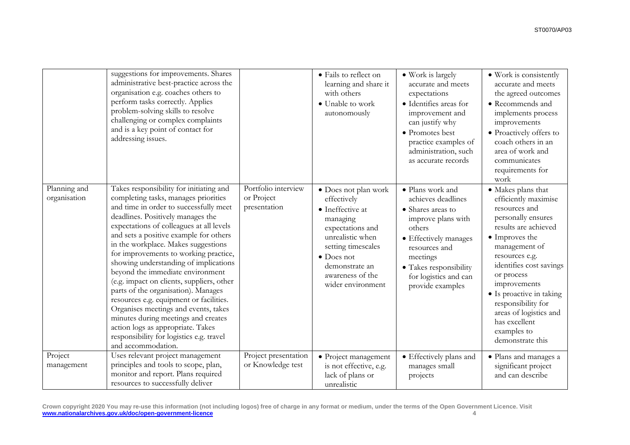|                              | suggestions for improvements. Shares<br>administrative best-practice across the<br>organisation e.g. coaches others to<br>perform tasks correctly. Applies<br>problem-solving skills to resolve<br>challenging or complex complaints<br>and is a key point of contact for<br>addressing issues.                                                                                                                                                                                                                                                                                                                                                                                                                                        |                                                   | • Fails to reflect on<br>learning and share it<br>with others<br>• Unable to work<br>autonomously                                                                                                                  | • Work is largely<br>accurate and meets<br>expectations<br>• Identifies areas for<br>improvement and<br>can justify why<br>• Promotes best<br>practice examples of<br>administration, such<br>as accurate records        | • Work is consistently<br>accurate and meets<br>the agreed outcomes<br>• Recommends and<br>implements process<br>improvements<br>· Proactively offers to<br>coach others in an<br>area of work and<br>communicates<br>requirements for<br>work                                                                                                          |
|------------------------------|----------------------------------------------------------------------------------------------------------------------------------------------------------------------------------------------------------------------------------------------------------------------------------------------------------------------------------------------------------------------------------------------------------------------------------------------------------------------------------------------------------------------------------------------------------------------------------------------------------------------------------------------------------------------------------------------------------------------------------------|---------------------------------------------------|--------------------------------------------------------------------------------------------------------------------------------------------------------------------------------------------------------------------|--------------------------------------------------------------------------------------------------------------------------------------------------------------------------------------------------------------------------|---------------------------------------------------------------------------------------------------------------------------------------------------------------------------------------------------------------------------------------------------------------------------------------------------------------------------------------------------------|
| Planning and<br>organisation | Takes responsibility for initiating and<br>completing tasks, manages priorities<br>and time in order to successfully meet<br>deadlines. Positively manages the<br>expectations of colleagues at all levels<br>and sets a positive example for others<br>in the workplace. Makes suggestions<br>for improvements to working practice,<br>showing understanding of implications<br>beyond the immediate environment<br>(e.g. impact on clients, suppliers, other<br>parts of the organisation). Manages<br>resources e.g. equipment or facilities.<br>Organises meetings and events, takes<br>minutes during meetings and creates<br>action logs as appropriate. Takes<br>responsibility for logistics e.g. travel<br>and accommodation. | Portfolio interview<br>or Project<br>presentation | • Does not plan work<br>effectively<br>• Ineffective at<br>managing<br>expectations and<br>unrealistic when<br>setting timescales<br>$\bullet$ Does not<br>demonstrate an<br>awareness of the<br>wider environment | · Plans work and<br>achieves deadlines<br>• Shares areas to<br>improve plans with<br>others<br>• Effectively manages<br>resources and<br>meetings<br>• Takes responsibility<br>for logistics and can<br>provide examples | • Makes plans that<br>efficiently maximise<br>resources and<br>personally ensures<br>results are achieved<br>• Improves the<br>management of<br>resources e.g.<br>identifies cost savings<br>or process<br>improvements<br>· Is proactive in taking<br>responsibility for<br>areas of logistics and<br>has excellent<br>examples to<br>demonstrate this |
| Project<br>management        | Uses relevant project management<br>principles and tools to scope, plan,<br>monitor and report. Plans required<br>resources to successfully deliver                                                                                                                                                                                                                                                                                                                                                                                                                                                                                                                                                                                    | Project presentation<br>or Knowledge test         | · Project management<br>is not effective, e.g.<br>lack of plans or<br>unrealistic                                                                                                                                  | $\bullet$ Effectively plans and<br>manages small<br>projects                                                                                                                                                             | · Plans and manages a<br>significant project<br>and can describe                                                                                                                                                                                                                                                                                        |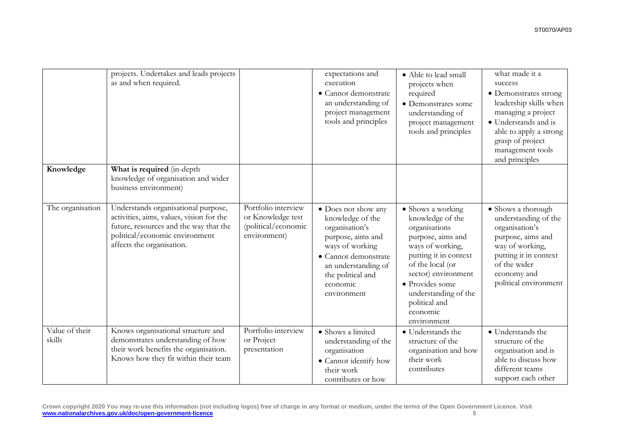|                          | projects. Undertakes and leads projects<br>as and when required.                                                                                                                         |                                                                                 | expectations and<br>execution<br>· Cannot demonstrate<br>an understanding of<br>project management<br>tools and principles                                                                       | • Able to lead small<br>projects when<br>required<br>• Demonstrates some<br>understanding of<br>project management<br>tools and principles                                                                                                                 | what made it a<br>success<br>• Demonstrates strong<br>leadership skills when<br>managing a project<br>• Understands and is<br>able to apply a strong<br>grasp of project<br>management tools<br>and principles |
|--------------------------|------------------------------------------------------------------------------------------------------------------------------------------------------------------------------------------|---------------------------------------------------------------------------------|--------------------------------------------------------------------------------------------------------------------------------------------------------------------------------------------------|------------------------------------------------------------------------------------------------------------------------------------------------------------------------------------------------------------------------------------------------------------|----------------------------------------------------------------------------------------------------------------------------------------------------------------------------------------------------------------|
| Knowledge                | What is required (in-depth<br>knowledge of organisation and wider<br>business environment)                                                                                               |                                                                                 |                                                                                                                                                                                                  |                                                                                                                                                                                                                                                            |                                                                                                                                                                                                                |
| The organisation         | Understands organisational purpose,<br>activities, aims, values, vision for the<br>future, resources and the way that the<br>political/economic environment<br>affects the organisation. | Portfolio interview<br>or Knowledge test<br>(political/economic<br>environment) | • Does not show any<br>knowledge of the<br>organisation's<br>purpose, aims and<br>ways of working<br>· Cannot demonstrate<br>an understanding of<br>the political and<br>economic<br>environment | • Shows a working<br>knowledge of the<br>organisations<br>purpose, aims and<br>ways of working,<br>putting it in context<br>of the local (or<br>sector) environment<br>• Provides some<br>understanding of the<br>political and<br>economic<br>environment | • Shows a thorough<br>understanding of the<br>organisation's<br>purpose, aims and<br>way of working,<br>putting it in context<br>of the wider<br>economy and<br>political environment                          |
| Value of their<br>skills | Knows organisational structure and<br>demonstrates understanding of how<br>their work benefits the organisation.<br>Knows how they fit within their team                                 | Portfolio interview<br>or Project<br>presentation                               | • Shows a limited<br>understanding of the<br>organisation<br>• Cannot identify how<br>their work<br>contributes or how                                                                           | • Understands the<br>structure of the<br>organisation and how<br>their work<br>contributes                                                                                                                                                                 | • Understands the<br>structure of the<br>organisation and is<br>able to discuss how<br>different teams<br>support each other                                                                                   |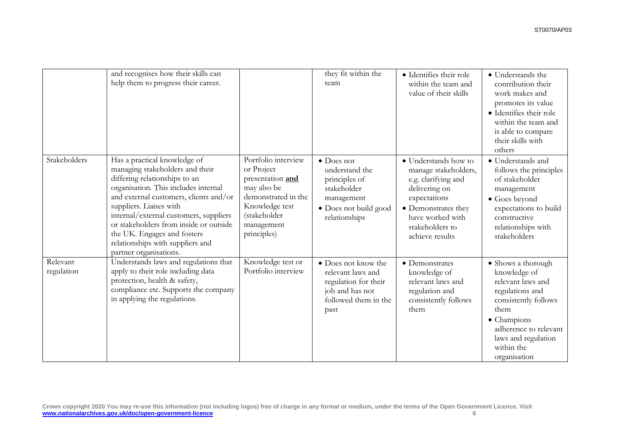|                        | and recognises how their skills can<br>help them to progress their career.                                                                                                                                                                                                                                                                                                                     |                                                                                                                                                            | they fit within the<br>team                                                                                                  | • Identifies their role<br>within the team and<br>value of their skills                                                                                                               | • Understands the<br>contribution their<br>work makes and<br>promotes its value<br>• Identifies their role<br>within the team and<br>is able to compare<br>their skills with<br>others                  |
|------------------------|------------------------------------------------------------------------------------------------------------------------------------------------------------------------------------------------------------------------------------------------------------------------------------------------------------------------------------------------------------------------------------------------|------------------------------------------------------------------------------------------------------------------------------------------------------------|------------------------------------------------------------------------------------------------------------------------------|---------------------------------------------------------------------------------------------------------------------------------------------------------------------------------------|---------------------------------------------------------------------------------------------------------------------------------------------------------------------------------------------------------|
| Stakeholders           | Has a practical knowledge of<br>managing stakeholders and their<br>differing relationships to an<br>organisation. This includes internal<br>and external customers, clients and/or<br>suppliers. Liaises with<br>internal/external customers, suppliers<br>or stakeholders from inside or outside<br>the UK. Engages and fosters<br>relationships with suppliers and<br>partner organisations. | Portfolio interview<br>or Project<br>presentation and<br>may also be<br>demonstrated in the<br>Knowledge test<br>(stakeholder<br>management<br>principles) | $\bullet$ Does not<br>understand the<br>principles of<br>stakeholder<br>management<br>• Does not build good<br>relationships | • Understands how to<br>manage stakeholders,<br>e.g. clarifying and<br>delivering on<br>expectations<br>• Demonstrates they<br>have worked with<br>stakeholders to<br>achieve results | • Understands and<br>follows the principles<br>of stakeholder<br>management<br>$\bullet$ Goes beyond<br>expectations to build<br>constructive<br>relationships with<br>stakeholders                     |
| Relevant<br>regulation | Understands laws and regulations that<br>apply to their role including data<br>protection, health & safety,<br>compliance etc. Supports the company<br>in applying the regulations.                                                                                                                                                                                                            | Knowledge test or<br>Portfolio interview                                                                                                                   | • Does not know the<br>relevant laws and<br>regulation for their<br>job and has not<br>followed them in the<br>past          | • Demonstrates<br>knowledge of<br>relevant laws and<br>regulation and<br>consistently follows<br>them                                                                                 | • Shows a thorough<br>knowledge of<br>relevant laws and<br>regulations and<br>consistently follows<br>them<br>• Champions<br>adherence to relevant<br>laws and regulation<br>within the<br>organisation |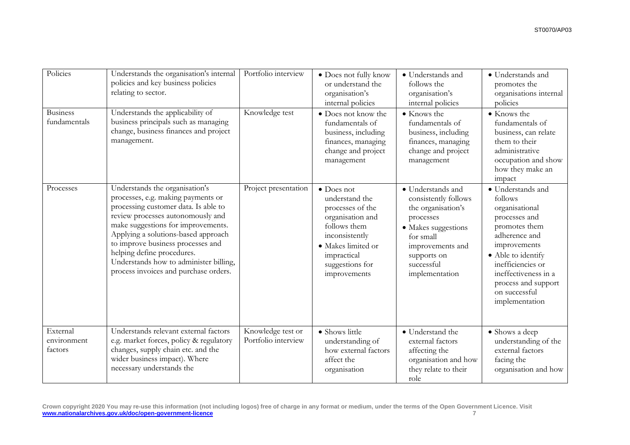| Policies                           | Understands the organisation's internal<br>policies and key business policies<br>relating to sector.                                                                                                                                                                                                                                                                                 | Portfolio interview                      | • Does not fully know<br>or understand the<br>organisation's<br>internal policies                                                                                              | • Understands and<br>follows the<br>organisation's<br>internal policies                                                                                                             | • Understands and<br>promotes the<br>organisations internal<br>policies                                                                                                                                                                        |
|------------------------------------|--------------------------------------------------------------------------------------------------------------------------------------------------------------------------------------------------------------------------------------------------------------------------------------------------------------------------------------------------------------------------------------|------------------------------------------|--------------------------------------------------------------------------------------------------------------------------------------------------------------------------------|-------------------------------------------------------------------------------------------------------------------------------------------------------------------------------------|------------------------------------------------------------------------------------------------------------------------------------------------------------------------------------------------------------------------------------------------|
| <b>Business</b><br>fundamentals    | Understands the applicability of<br>business principals such as managing<br>change, business finances and project<br>management.                                                                                                                                                                                                                                                     | Knowledge test                           | • Does not know the<br>fundamentals of<br>business, including<br>finances, managing<br>change and project<br>management                                                        | • Knows the<br>fundamentals of<br>business, including<br>finances, managing<br>change and project<br>management                                                                     | • Knows the<br>fundamentals of<br>business, can relate<br>them to their<br>administrative<br>occupation and show<br>how they make an<br>impact                                                                                                 |
| Processes                          | Understands the organisation's<br>processes, e.g. making payments or<br>processing customer data. Is able to<br>review processes autonomously and<br>make suggestions for improvements.<br>Applying a solutions-based approach<br>to improve business processes and<br>helping define procedures.<br>Understands how to administer billing,<br>process invoices and purchase orders. | Project presentation                     | • Does not<br>understand the<br>processes of the<br>organisation and<br>follows them<br>inconsistently<br>• Makes limited or<br>impractical<br>suggestions for<br>improvements | • Understands and<br>consistently follows<br>the organisation's<br>processes<br>· Makes suggestions<br>for small<br>improvements and<br>supports on<br>successful<br>implementation | • Understands and<br>follows<br>organisational<br>processes and<br>promotes them<br>adherence and<br>improvements<br>• Able to identify<br>inefficiencies or<br>ineffectiveness in a<br>process and support<br>on successful<br>implementation |
| External<br>environment<br>factors | Understands relevant external factors<br>e.g. market forces, policy & regulatory<br>changes, supply chain etc. and the<br>wider business impact). Where<br>necessary understands the                                                                                                                                                                                                 | Knowledge test or<br>Portfolio interview | • Shows little<br>understanding of<br>how external factors<br>affect the<br>organisation                                                                                       | • Understand the<br>external factors<br>affecting the<br>organisation and how<br>they relate to their<br>role                                                                       | • Shows a deep<br>understanding of the<br>external factors<br>facing the<br>organisation and how                                                                                                                                               |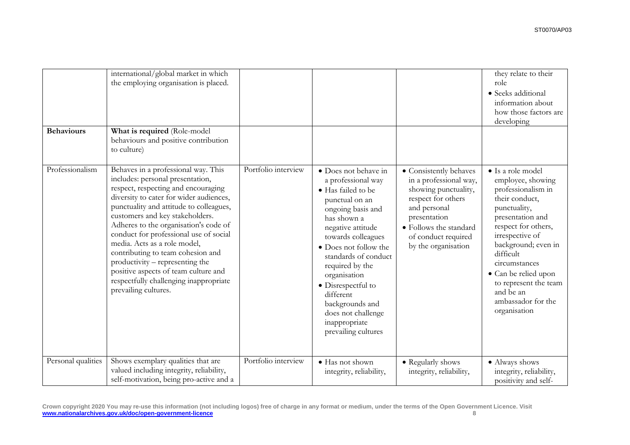| <b>Behaviours</b>  | international/global market in which<br>the employing organisation is placed.<br>What is required (Role-model<br>behaviours and positive contribution<br>to culture)                                                                                                                                                                                                                                                                                                                                                                         |                     |                                                                                                                                                                                                                                                                                                                                                                           |                                                                                                                                                                                                        | they relate to their<br>role<br>· Seeks additional<br>information about<br>how those factors are<br>developing                                                                                                                                                                                                        |
|--------------------|----------------------------------------------------------------------------------------------------------------------------------------------------------------------------------------------------------------------------------------------------------------------------------------------------------------------------------------------------------------------------------------------------------------------------------------------------------------------------------------------------------------------------------------------|---------------------|---------------------------------------------------------------------------------------------------------------------------------------------------------------------------------------------------------------------------------------------------------------------------------------------------------------------------------------------------------------------------|--------------------------------------------------------------------------------------------------------------------------------------------------------------------------------------------------------|-----------------------------------------------------------------------------------------------------------------------------------------------------------------------------------------------------------------------------------------------------------------------------------------------------------------------|
| Professionalism    | Behaves in a professional way. This<br>includes: personal presentation,<br>respect, respecting and encouraging<br>diversity to cater for wider audiences,<br>punctuality and attitude to colleagues,<br>customers and key stakeholders.<br>Adheres to the organisation's code of<br>conduct for professional use of social<br>media. Acts as a role model,<br>contributing to team cohesion and<br>productivity – representing the<br>positive aspects of team culture and<br>respectfully challenging inappropriate<br>prevailing cultures. | Portfolio interview | • Does not behave in<br>a professional way<br>• Has failed to be<br>punctual on an<br>ongoing basis and<br>has shown a<br>negative attitude<br>towards colleagues<br>• Does not follow the<br>standards of conduct<br>required by the<br>organisation<br>• Disrespectful to<br>different<br>backgrounds and<br>does not challenge<br>inappropriate<br>prevailing cultures | • Consistently behaves<br>in a professional way,<br>showing punctuality,<br>respect for others<br>and personal<br>presentation<br>• Follows the standard<br>of conduct required<br>by the organisation | • Is a role model<br>employee, showing<br>professionalism in<br>their conduct,<br>punctuality,<br>presentation and<br>respect for others,<br>irrespective of<br>background; even in<br>difficult<br>circumstances<br>• Can be relied upon<br>to represent the team<br>and be an<br>ambassador for the<br>organisation |
| Personal qualities | Shows exemplary qualities that are<br>valued including integrity, reliability,<br>self-motivation, being pro-active and a                                                                                                                                                                                                                                                                                                                                                                                                                    | Portfolio interview | · Has not shown<br>integrity, reliability,                                                                                                                                                                                                                                                                                                                                | • Regularly shows<br>integrity, reliability,                                                                                                                                                           | • Always shows<br>integrity, reliability,<br>positivity and self-                                                                                                                                                                                                                                                     |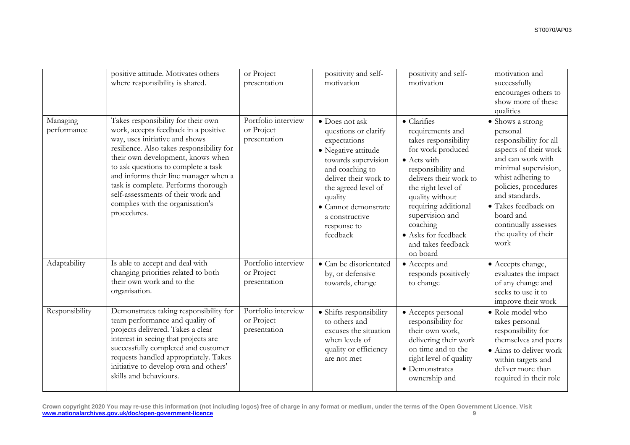|                         | positive attitude. Motivates others<br>where responsibility is shared.                                                                                                                                                                                                                                                                                                                                         | or Project<br>presentation                        | positivity and self-<br>motivation                                                                                                                                                                                                                      | positivity and self-<br>motivation                                                                                                                                                                                                                                                                                   | motivation and<br>successfully<br>encourages others to<br>show more of these<br>qualities                                                                                                                                                                                               |
|-------------------------|----------------------------------------------------------------------------------------------------------------------------------------------------------------------------------------------------------------------------------------------------------------------------------------------------------------------------------------------------------------------------------------------------------------|---------------------------------------------------|---------------------------------------------------------------------------------------------------------------------------------------------------------------------------------------------------------------------------------------------------------|----------------------------------------------------------------------------------------------------------------------------------------------------------------------------------------------------------------------------------------------------------------------------------------------------------------------|-----------------------------------------------------------------------------------------------------------------------------------------------------------------------------------------------------------------------------------------------------------------------------------------|
| Managing<br>performance | Takes responsibility for their own<br>work, accepts feedback in a positive<br>way, uses initiative and shows<br>resilience. Also takes responsibility for<br>their own development, knows when<br>to ask questions to complete a task<br>and informs their line manager when a<br>task is complete. Performs thorough<br>self-assessments of their work and<br>complies with the organisation's<br>procedures. | Portfolio interview<br>or Project<br>presentation | • Does not ask<br>questions or clarify<br>expectations<br>• Negative attitude<br>towards supervision<br>and coaching to<br>deliver their work to<br>the agreed level of<br>quality<br>· Cannot demonstrate<br>a constructive<br>response to<br>feedback | $\bullet$ Clarifies<br>requirements and<br>takes responsibility<br>for work produced<br>$\bullet$ Acts with<br>responsibility and<br>delivers their work to<br>the right level of<br>quality without<br>requiring additional<br>supervision and<br>coaching<br>• Asks for feedback<br>and takes feedback<br>on board | • Shows a strong<br>personal<br>responsibility for all<br>aspects of their work<br>and can work with<br>minimal supervision,<br>whist adhering to<br>policies, procedures<br>and standards.<br>• Takes feedback on<br>board and<br>continually assesses<br>the quality of their<br>work |
| Adaptability            | Is able to accept and deal with<br>changing priorities related to both<br>their own work and to the<br>organisation.                                                                                                                                                                                                                                                                                           | Portfolio interview<br>or Project<br>presentation | • Can be disorientated<br>by, or defensive<br>towards, change                                                                                                                                                                                           | • Accepts and<br>responds positively<br>to change                                                                                                                                                                                                                                                                    | • Accepts change,<br>evaluates the impact<br>of any change and<br>seeks to use it to<br>improve their work                                                                                                                                                                              |
| Responsibility          | Demonstrates taking responsibility for<br>team performance and quality of<br>projects delivered. Takes a clear<br>interest in seeing that projects are<br>successfully completed and customer<br>requests handled appropriately. Takes<br>initiative to develop own and others'<br>skills and behaviours.                                                                                                      | Portfolio interview<br>or Project<br>presentation | • Shifts responsibility<br>to others and<br>excuses the situation<br>when levels of<br>quality or efficiency<br>are not met                                                                                                                             | • Accepts personal<br>responsibility for<br>their own work,<br>delivering their work<br>on time and to the<br>right level of quality<br>• Demonstrates<br>ownership and                                                                                                                                              | • Role model who<br>takes personal<br>responsibility for<br>themselves and peers<br>• Aims to deliver work<br>within targets and<br>deliver more than<br>required in their role                                                                                                         |